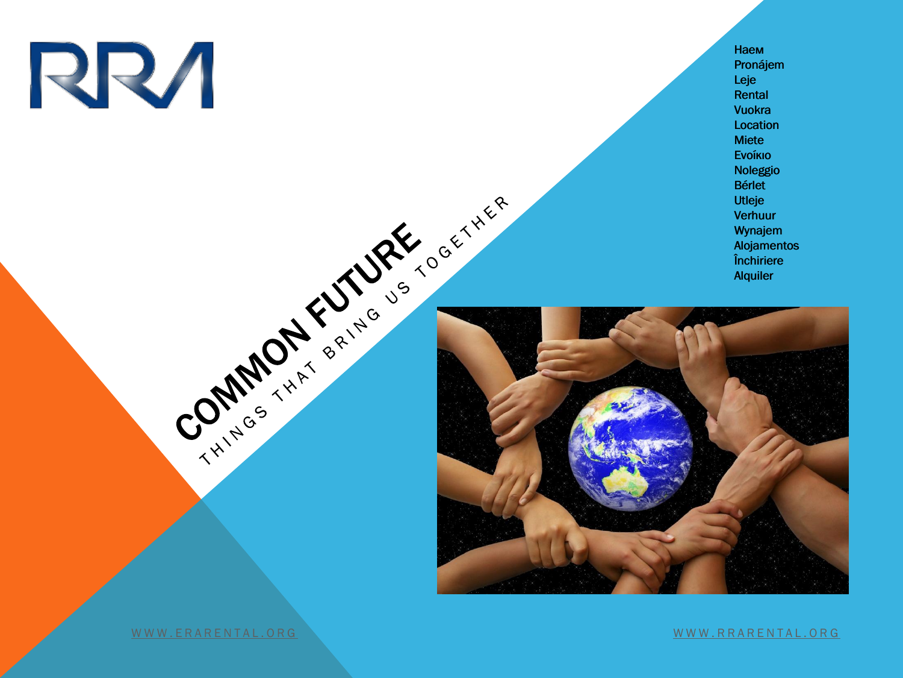

Наем Наем Pronájem Pronájem Leje Rental Vuokra Location Location Miete MieteΕνοίκιο Ενοίκιο Noleggio Noleggio Bérlet Bérlet<br>Utleje Verhuur Verhuur Wynajem Alojamentos Închiriere Alquiler Leje<br>Rental<br>Vuokra Wynajem<br>Alojamentos<br>Închiriere<br>Alquiler



W W W. ERARENTAL. OR[G](http://www.rrarental.org/) WARD AND THE RESERVE AND THE RESERVE AND THE RESERVE AND MUNICIPAL AND MUNICIPAL AND MUNICIPAL AND MUNICIPAL AND MUNICIPAL AND MUNICIPAL AND MUNICIPAL AND MUNICIPAL AND MUNICIPAL AND MUNICIPAL AND MUN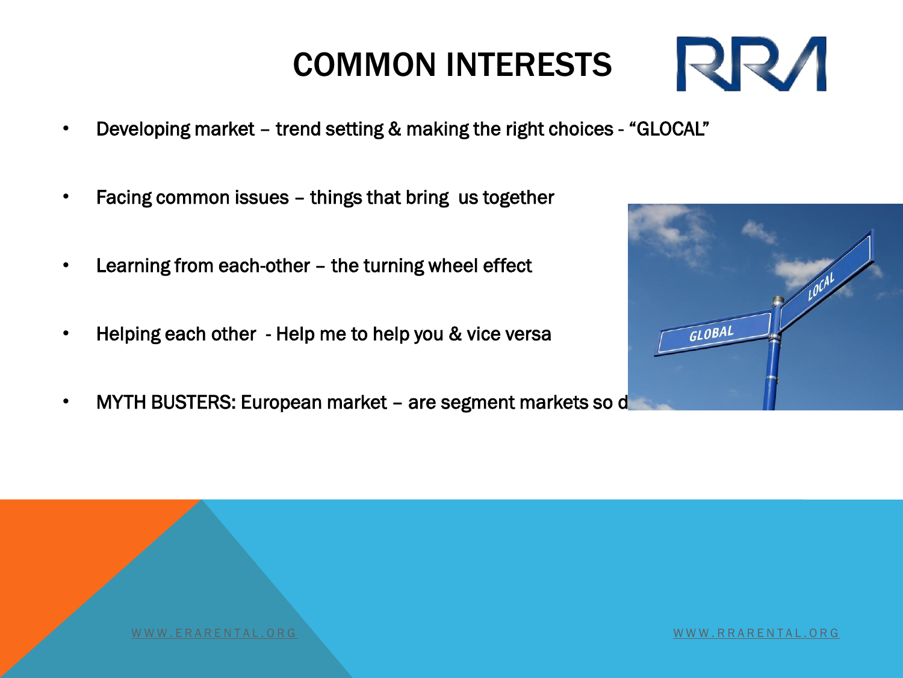- Developing market trend setting & making the right choices "GLOCAL"
- Facing common issues things that bring us together
- Learning from each-other the turning wheel effect
- Helping each other Help me to help you & vice versa
- MYTH BUSTERS: European market are segment markets so d



[W W W . R R A R E N T A L . O R](http://www.rrarental.org/) [G](http://www.rrarental.org/)

# **RRA**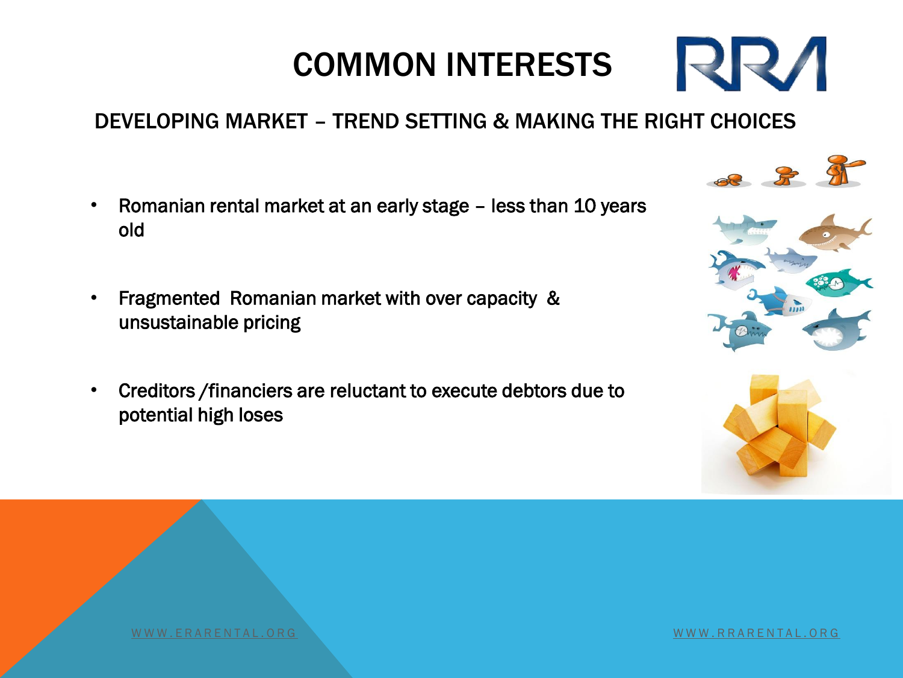#### DEVELOPING MARKET – TREND SETTING & MAKING THE RIGHT CHOICES

- Romanian rental market at an early stage less than 10 years old
- Fragmented Romanian market with over capacity & unsustainable pricing
- Creditors /financiers are reluctant to execute debtors due to potential high loses



**RRA** 



W W W . ERARENTAL . OR [G](http://www.rrarental.org/)NU EN LA LIGIDAD A LIGIDAD A LIGIDAD A LIGIDAD A LIGIDAD A LIGIDAD A LIGIDAD A LIGIDAD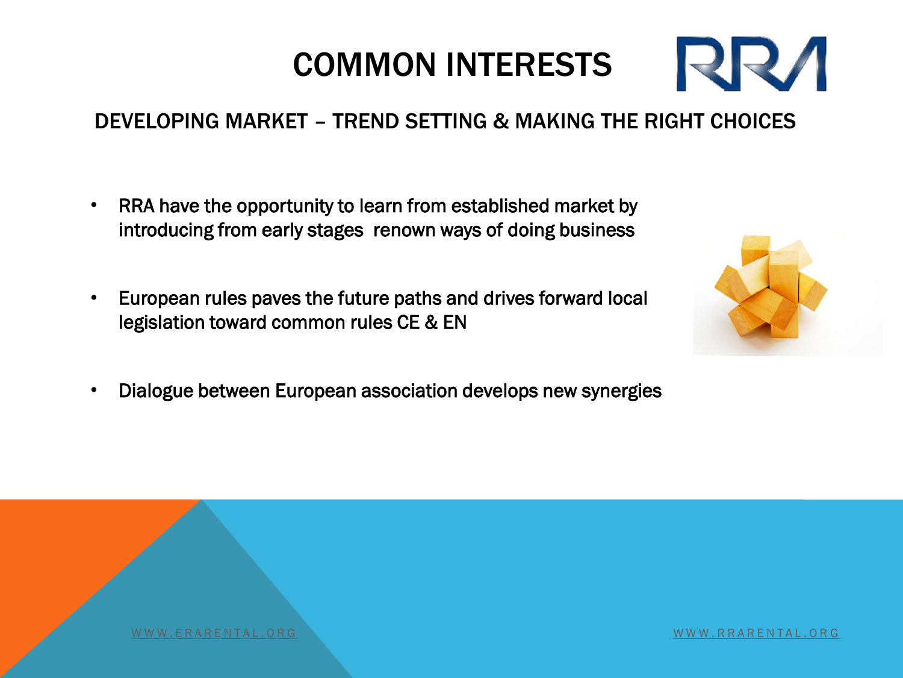#### DEVELOPING MARKET – TREND SETTING & MAKING THE RIGHT CHOICES

- RRA have the opportunity to learn from established market by introducing from early stages renown ways of doing business
- European rules paves the future paths and drives forward local legislation toward common rules CE & EN



**RRA** 

• Dialogue between European association develops new synergies

W W W . ERARENTAL . OR [G](http://www.rrarental.org/)NU EN LA LITERATURA DE LA LITERATURA DE LA LITERATURA DE LA LITERATURA DE LA LITERATUR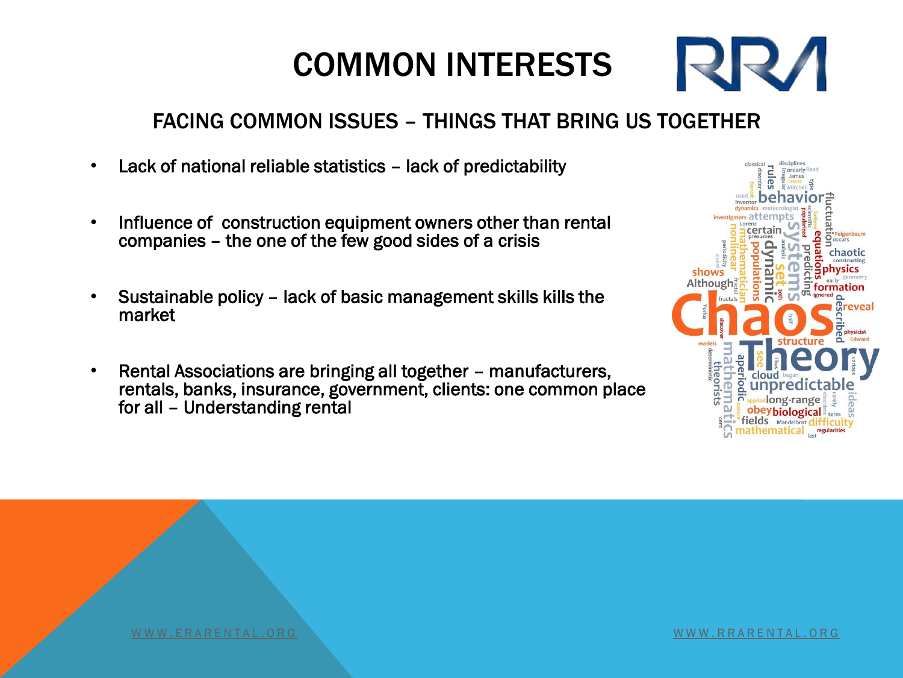#### FACING COMMON ISSUES – THINGS THAT BRING US TOGETHER

- Lack of national reliable statistics lack of predictability
- Influence of construction equipment owners other than rental companies – the one of the few good sides of a crisis
- Sustainable policy lack of basic management skills kills the market
- Rental Associations are bringing all together manufacturers, rentals, banks, insurance, government, clients: one common place for all – Understanding rental



**RZZ** 

[W W W . E R A R E N T A L . O R G](http://www.erarental.org/) [W W W . R R A R E N T A L . O R](http://www.rrarental.org/) [G](http://www.rrarental.org/)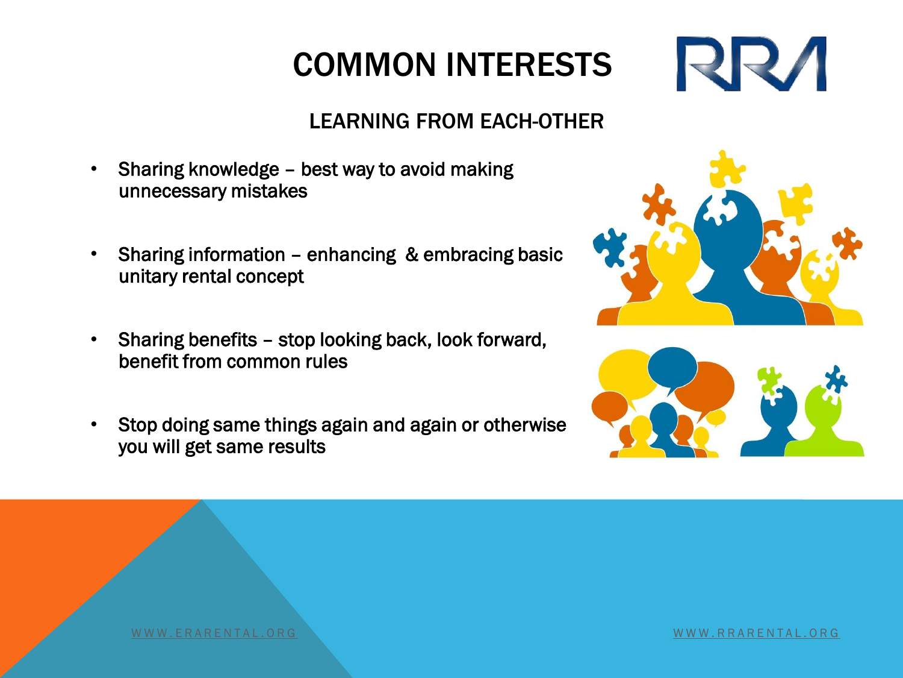#### LEARNING FROM EACH-OTHER

- Sharing knowledge best way to avoid making unnecessary mistakes
- Sharing information enhancing & embracing basic unitary rental concept
- Sharing benefits stop looking back, look forward, benefit from common rules
- Stop doing same things again and again or otherwise you will get same results



**RRVI** 



W W W . ERARENTAL . OR [G](http://www.rrarental.org/) W W W W . RARENTAL . OR G W W W . RARENTAL . OR G W W W . RARENTAL . OR G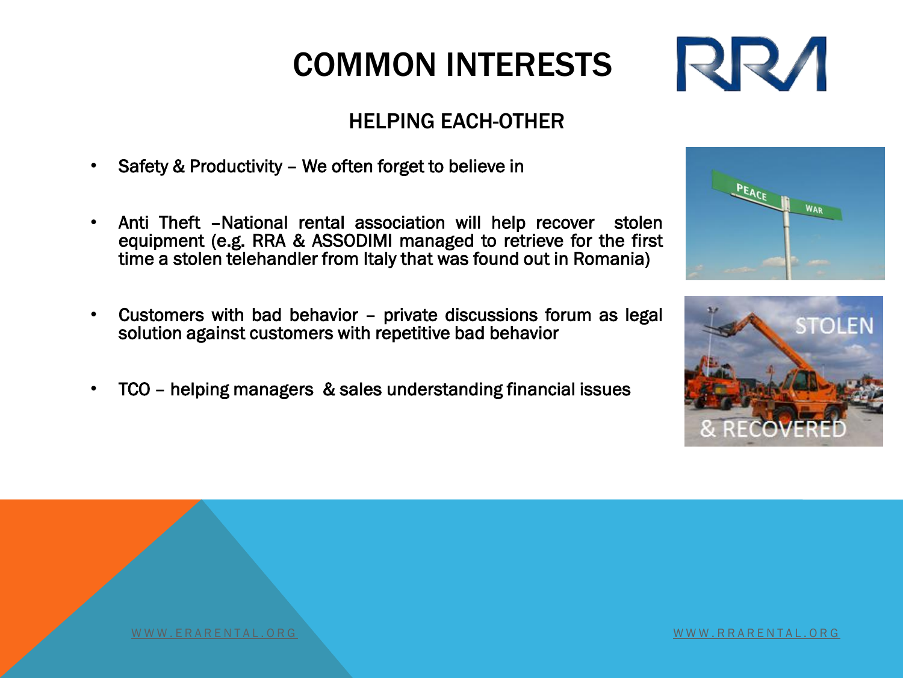#### HELPING EACH-OTHER

- Safety & Productivity We often forget to believe in
- Anti Theft –National rental association will help recover stolen equipment (e.g. RRA & ASSODIMI managed to retrieve for the first time a stolen telehandler from Italy that was found out in Romania)
- Customers with bad behavior private discussions forum as legal solution against customers with repetitive bad behavior
- TCO helping managers & sales understanding financial issues







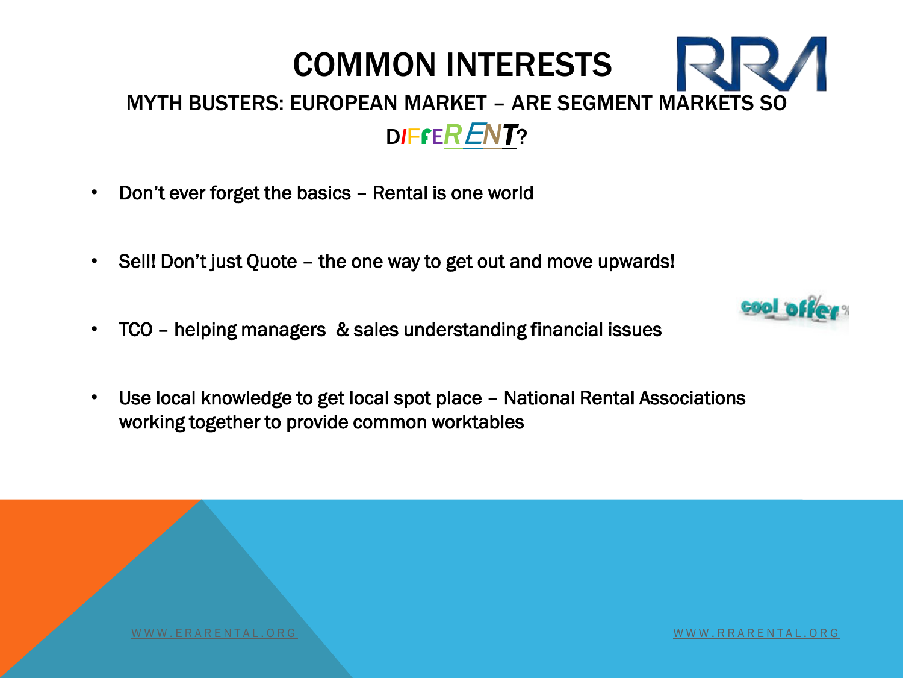#### COMMON INTERESTS MYTH BUSTERS: EUROPEAN MARKET – ARE SEGMENT MARKETS SO D*I*FFE*R*E*NT*?

- Don't ever forget the basics Rental is one world
- Sell! Don't just Quote the one way to get out and move upwards!
- TCO helping managers & sales understanding financial issues
- Use local knowledge to get local spot place National Rental Associations working together to provide common worktables



W W W . ERARENTAL . OR [G](http://www.rrarental.org/)NASH A LOG WARD TO HALL THE RELEASE OF THE RELEASE OF THE RELEASE OF THE RELEASE OF TH